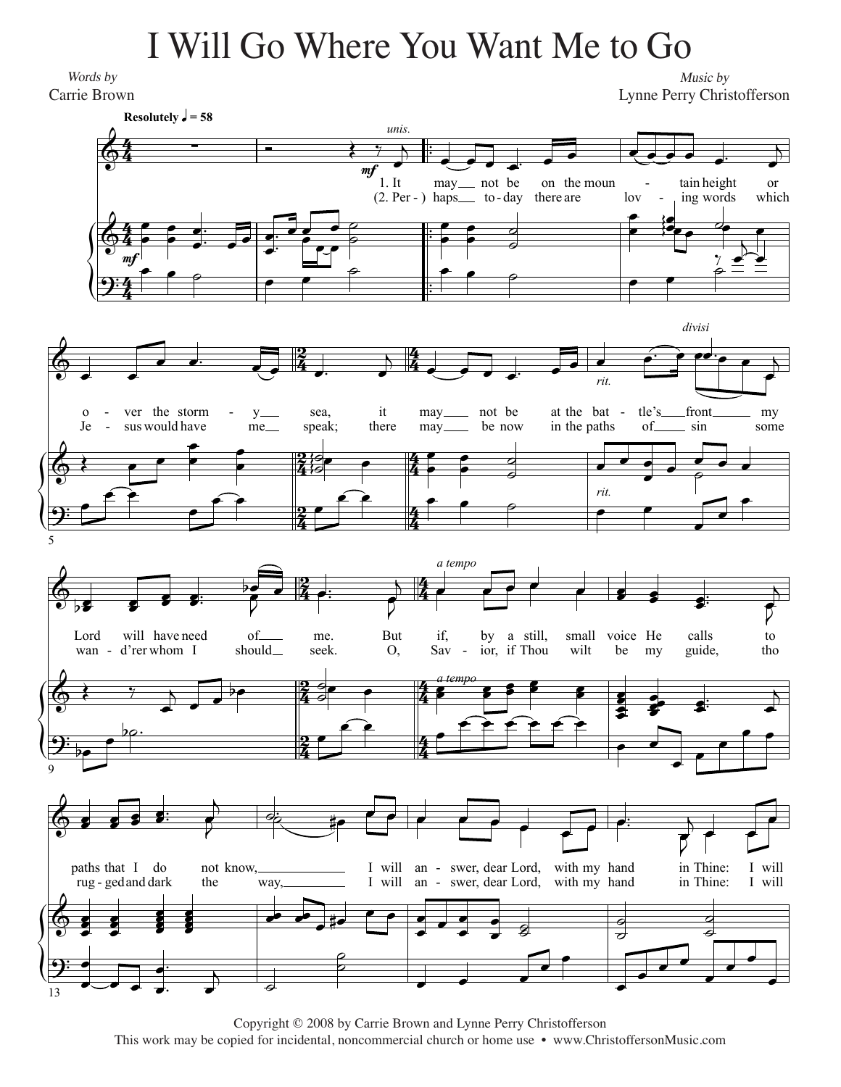## I Will Go Where You Want Me to Go I Will Go Where You Want Me to Go

*Words by* Words by Carrie Brown Carrie Brown

*Music by* Music by Lynne Perry Christofferson Lynne Perry Christofferson



Copyright © 2011 by Carrie Brown and Lynne Perry Christofferson Copyright © 2008 by Carrie Brown and Lynne Perry Christofferson This work may be copied for incidental, noncommercial church or home use • www.ChristoffersonMusic.com